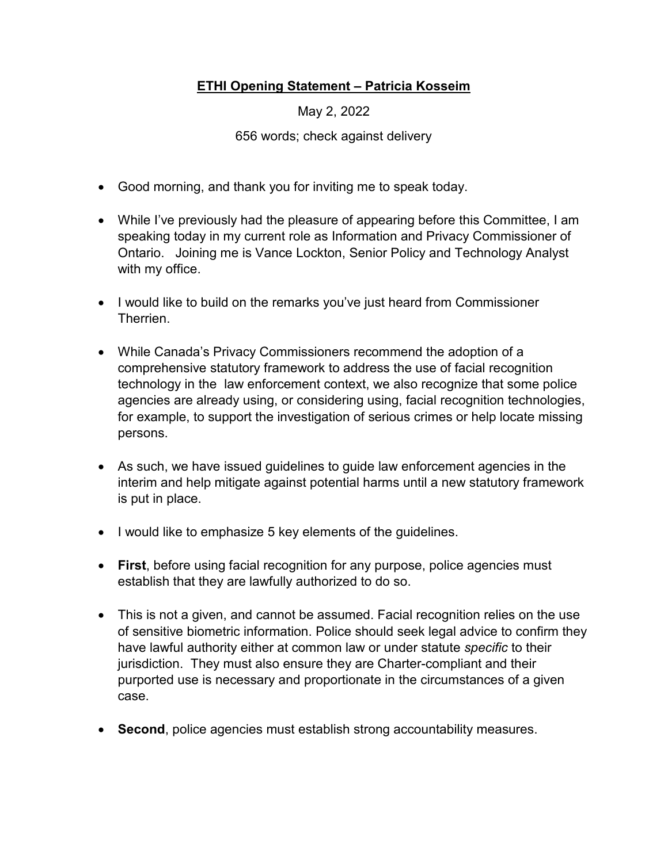## **ETHI Opening Statement – Patricia Kosseim**

May 2, 2022

656 words; check against delivery

- Good morning, and thank you for inviting me to speak today.
- While I've previously had the pleasure of appearing before this Committee, I am speaking today in my current role as Information and Privacy Commissioner of Ontario. Joining me is Vance Lockton, Senior Policy and Technology Analyst with my office.
- I would like to build on the remarks you've just heard from Commissioner Therrien.
- While Canada's Privacy Commissioners recommend the adoption of a comprehensive statutory framework to address the use of facial recognition technology in the law enforcement context, we also recognize that some police agencies are already using, or considering using, facial recognition technologies, for example, to support the investigation of serious crimes or help locate missing persons.
- As such, we have issued guidelines to guide law enforcement agencies in the interim and help mitigate against potential harms until a new statutory framework is put in place.
- I would like to emphasize 5 key elements of the guidelines.
- **First**, before using facial recognition for any purpose, police agencies must establish that they are lawfully authorized to do so.
- This is not a given, and cannot be assumed. Facial recognition relies on the use of sensitive biometric information. Police should seek legal advice to confirm they have lawful authority either at common law or under statute *specific* to their jurisdiction. They must also ensure they are Charter-compliant and their purported use is necessary and proportionate in the circumstances of a given case.
- **Second**, police agencies must establish strong accountability measures.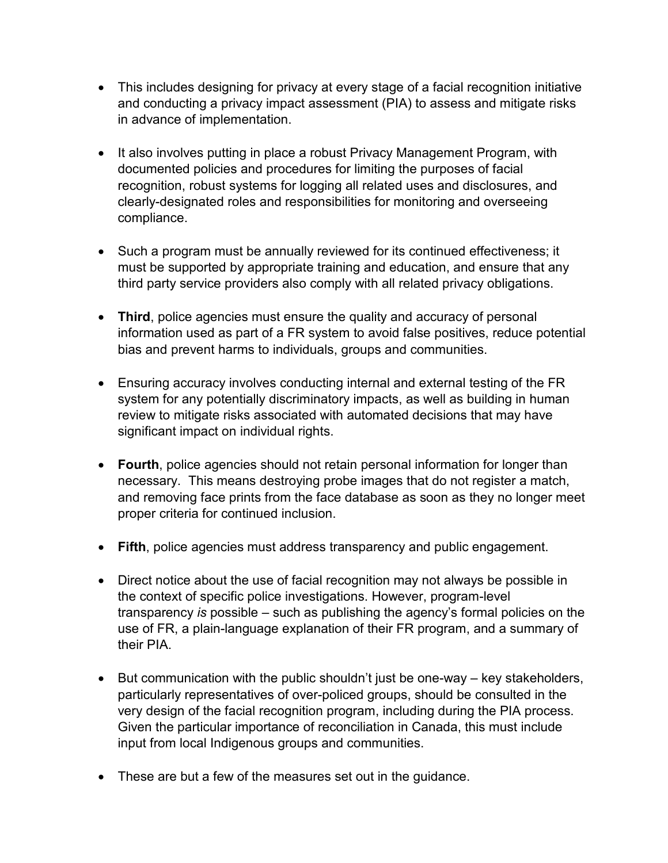- This includes designing for privacy at every stage of a facial recognition initiative and conducting a privacy impact assessment (PIA) to assess and mitigate risks in advance of implementation.
- It also involves putting in place a robust Privacy Management Program, with documented policies and procedures for limiting the purposes of facial recognition, robust systems for logging all related uses and disclosures, and clearly-designated roles and responsibilities for monitoring and overseeing compliance.
- Such a program must be annually reviewed for its continued effectiveness; it must be supported by appropriate training and education, and ensure that any third party service providers also comply with all related privacy obligations.
- **Third**, police agencies must ensure the quality and accuracy of personal information used as part of a FR system to avoid false positives, reduce potential bias and prevent harms to individuals, groups and communities.
- Ensuring accuracy involves conducting internal and external testing of the FR system for any potentially discriminatory impacts, as well as building in human review to mitigate risks associated with automated decisions that may have significant impact on individual rights.
- **Fourth**, police agencies should not retain personal information for longer than necessary. This means destroying probe images that do not register a match, and removing face prints from the face database as soon as they no longer meet proper criteria for continued inclusion.
- **Fifth**, police agencies must address transparency and public engagement.
- Direct notice about the use of facial recognition may not always be possible in the context of specific police investigations. However, program-level transparency *is* possible – such as publishing the agency's formal policies on the use of FR, a plain-language explanation of their FR program, and a summary of their PIA.
- But communication with the public shouldn't just be one-way key stakeholders, particularly representatives of over-policed groups, should be consulted in the very design of the facial recognition program, including during the PIA process. Given the particular importance of reconciliation in Canada, this must include input from local Indigenous groups and communities.
- These are but a few of the measures set out in the guidance.